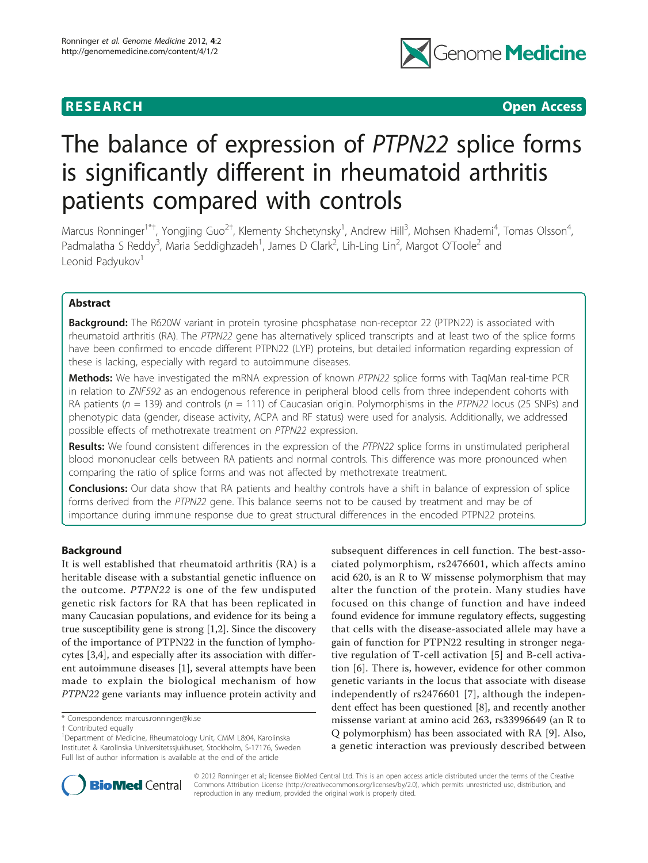

**RESEARCH CONSTRUCTION CONSTRUCTS** 

# The balance of expression of PTPN22 splice forms is significantly different in rheumatoid arthritis patients compared with controls

Marcus Ronninger<sup>1\*†</sup>, Yongjing Guo<sup>2†</sup>, Klementy Shchetynsky<sup>1</sup>, Andrew Hill<sup>3</sup>, Mohsen Khademi<sup>4</sup>, Tomas Olsson<sup>4</sup> , Padmalatha S Reddy<sup>3</sup>, Maria Seddighzadeh<sup>1</sup>, James D Clark<sup>2</sup>, Lih-Ling Lin<sup>2</sup>, Margot O'Toole<sup>2</sup> and Leonid Padyukov<sup>1</sup>

# Abstract

Background: The R620W variant in protein tyrosine phosphatase non-receptor 22 (PTPN22) is associated with rheumatoid arthritis (RA). The PTPN22 gene has alternatively spliced transcripts and at least two of the splice forms have been confirmed to encode different PTPN22 (LYP) proteins, but detailed information regarding expression of these is lacking, especially with regard to autoimmune diseases.

Methods: We have investigated the mRNA expression of known PTPN22 splice forms with TaqMan real-time PCR in relation to ZNF592 as an endogenous reference in peripheral blood cells from three independent cohorts with RA patients ( $n = 139$ ) and controls ( $n = 111$ ) of Caucasian origin. Polymorphisms in the PTPN22 locus (25 SNPs) and phenotypic data (gender, disease activity, ACPA and RF status) were used for analysis. Additionally, we addressed possible effects of methotrexate treatment on PTPN22 expression.

Results: We found consistent differences in the expression of the PTPN22 splice forms in unstimulated peripheral blood mononuclear cells between RA patients and normal controls. This difference was more pronounced when comparing the ratio of splice forms and was not affected by methotrexate treatment.

Conclusions: Our data show that RA patients and healthy controls have a shift in balance of expression of splice forms derived from the PTPN22 gene. This balance seems not to be caused by treatment and may be of importance during immune response due to great structural differences in the encoded PTPN22 proteins.

# Background

It is well established that rheumatoid arthritis (RA) is a heritable disease with a substantial genetic influence on the outcome. PTPN22 is one of the few undisputed genetic risk factors for RA that has been replicated in many Caucasian populations, and evidence for its being a true susceptibility gene is strong [\[1,2](#page-7-0)]. Since the discovery of the importance of PTPN22 in the function of lymphocytes [[3,4\]](#page-7-0), and especially after its association with different autoimmune diseases [[1\]](#page-7-0), several attempts have been made to explain the biological mechanism of how PTPN22 gene variants may influence protein activity and

\* Correspondence: [marcus.ronninger@ki.se](mailto:marcus.ronninger@ki.se)

subsequent differences in cell function. The best-associated polymorphism, rs2476601, which affects amino acid 620, is an R to W missense polymorphism that may alter the function of the protein. Many studies have focused on this change of function and have indeed found evidence for immune regulatory effects, suggesting that cells with the disease-associated allele may have a gain of function for PTPN22 resulting in stronger negative regulation of T-cell activation [\[5](#page-7-0)] and B-cell activation [[6\]](#page-7-0). There is, however, evidence for other common genetic variants in the locus that associate with disease independently of rs2476601 [[7\]](#page-7-0), although the independent effect has been questioned [\[8](#page-7-0)], and recently another missense variant at amino acid 263, rs33996649 (an R to Q polymorphism) has been associated with RA [[9\]](#page-7-0). Also, a genetic interaction was previously described between



© 2012 Ronninger et al.; licensee BioMed Central Ltd. This is an open access article distributed under the terms of the Creative Commons Attribution License [\(http://creativecommons.org/licenses/by/2.0](http://creativecommons.org/licenses/by/2.0)), which permits unrestricted use, distribution, and reproduction in any medium, provided the original work is properly cited.

<sup>†</sup> Contributed equally <sup>1</sup>

<sup>&</sup>lt;sup>1</sup>Department of Medicine, Rheumatology Unit, CMM L8:04, Karolinska Institutet & Karolinska Universitetssjukhuset, Stockholm, S-17176, Sweden Full list of author information is available at the end of the article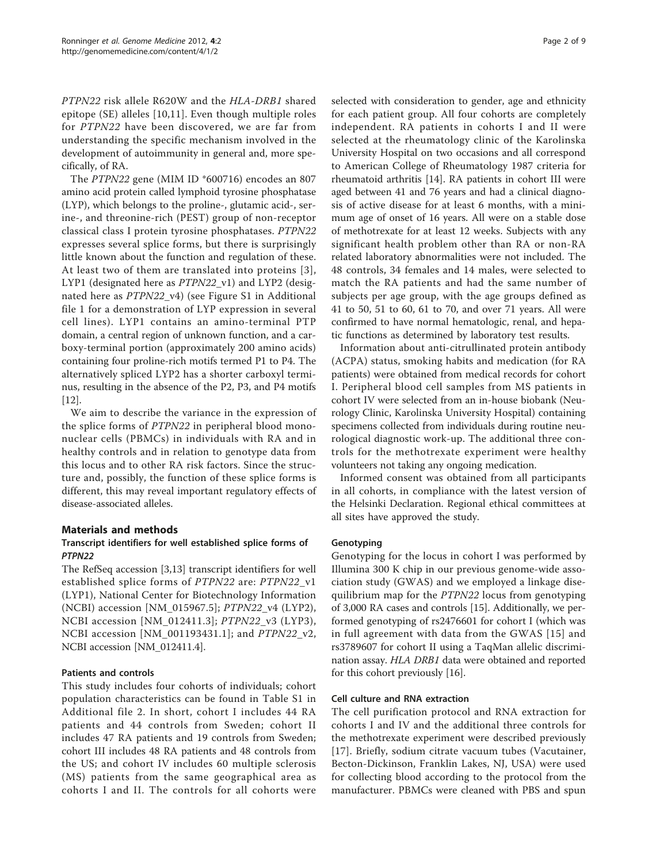PTPN22 risk allele R620W and the HLA-DRB1 shared epitope (SE) alleles [[10,11\]](#page-7-0). Even though multiple roles for PTPN22 have been discovered, we are far from understanding the specific mechanism involved in the development of autoimmunity in general and, more specifically, of RA.

The PTPN22 gene (MIM ID \*600716) encodes an 807 amino acid protein called lymphoid tyrosine phosphatase (LYP), which belongs to the proline-, glutamic acid-, serine-, and threonine-rich (PEST) group of non-receptor classical class I protein tyrosine phosphatases. PTPN22 expresses several splice forms, but there is surprisingly little known about the function and regulation of these. At least two of them are translated into proteins [[3\]](#page-7-0), LYP1 (designated here as PTPN22\_v1) and LYP2 (designated here as PTPN22\_v4) (see Figure S1 in Additional file [1](#page-6-0) for a demonstration of LYP expression in several cell lines). LYP1 contains an amino-terminal PTP domain, a central region of unknown function, and a carboxy-terminal portion (approximately 200 amino acids) containing four proline-rich motifs termed P1 to P4. The alternatively spliced LYP2 has a shorter carboxyl terminus, resulting in the absence of the P2, P3, and P4 motifs [[12\]](#page-7-0).

We aim to describe the variance in the expression of the splice forms of PTPN22 in peripheral blood mononuclear cells (PBMCs) in individuals with RA and in healthy controls and in relation to genotype data from this locus and to other RA risk factors. Since the structure and, possibly, the function of these splice forms is different, this may reveal important regulatory effects of disease-associated alleles.

# Materials and methods

# Transcript identifiers for well established splice forms of PTPN22

The RefSeq accession [[3,13\]](#page-7-0) transcript identifiers for well established splice forms of PTPN22 are: PTPN22\_v1 (LYP1), National Center for Biotechnology Information (NCBI) accession [NM\_015967.5]; PTPN22\_v4 (LYP2), NCBI accession [NM\_012411.3]; PTPN22\_v3 (LYP3), NCBI accession [NM\_001193431.1]; and PTPN22\_v2, NCBI accession [NM\_012411.4].

# Patients and controls

This study includes four cohorts of individuals; cohort population characteristics can be found in Table S1 in Additional file [2](#page-6-0). In short, cohort I includes 44 RA patients and 44 controls from Sweden; cohort II includes 47 RA patients and 19 controls from Sweden; cohort III includes 48 RA patients and 48 controls from the US; and cohort IV includes 60 multiple sclerosis (MS) patients from the same geographical area as cohorts I and II. The controls for all cohorts were selected with consideration to gender, age and ethnicity for each patient group. All four cohorts are completely independent. RA patients in cohorts I and II were selected at the rheumatology clinic of the Karolinska University Hospital on two occasions and all correspond to American College of Rheumatology 1987 criteria for rheumatoid arthritis [\[14](#page-7-0)]. RA patients in cohort III were aged between 41 and 76 years and had a clinical diagnosis of active disease for at least 6 months, with a minimum age of onset of 16 years. All were on a stable dose of methotrexate for at least 12 weeks. Subjects with any significant health problem other than RA or non-RA related laboratory abnormalities were not included. The 48 controls, 34 females and 14 males, were selected to match the RA patients and had the same number of subjects per age group, with the age groups defined as 41 to 50, 51 to 60, 61 to 70, and over 71 years. All were confirmed to have normal hematologic, renal, and hepatic functions as determined by laboratory test results.

Information about anti-citrullinated protein antibody (ACPA) status, smoking habits and medication (for RA patients) were obtained from medical records for cohort I. Peripheral blood cell samples from MS patients in cohort IV were selected from an in-house biobank (Neurology Clinic, Karolinska University Hospital) containing specimens collected from individuals during routine neurological diagnostic work-up. The additional three controls for the methotrexate experiment were healthy volunteers not taking any ongoing medication.

Informed consent was obtained from all participants in all cohorts, in compliance with the latest version of the Helsinki Declaration. Regional ethical committees at all sites have approved the study.

# Genotyping

Genotyping for the locus in cohort I was performed by Illumina 300 K chip in our previous genome-wide association study (GWAS) and we employed a linkage disequilibrium map for the PTPN22 locus from genotyping of 3,000 RA cases and controls [\[15](#page-7-0)]. Additionally, we performed genotyping of rs2476601 for cohort I (which was in full agreement with data from the GWAS [[15](#page-7-0)] and rs3789607 for cohort II using a TaqMan allelic discrimination assay. HLA DRB1 data were obtained and reported for this cohort previously [\[16\]](#page-7-0).

# Cell culture and RNA extraction

The cell purification protocol and RNA extraction for cohorts I and IV and the additional three controls for the methotrexate experiment were described previously [[17](#page-7-0)]. Briefly, sodium citrate vacuum tubes (Vacutainer, Becton-Dickinson, Franklin Lakes, NJ, USA) were used for collecting blood according to the protocol from the manufacturer. PBMCs were cleaned with PBS and spun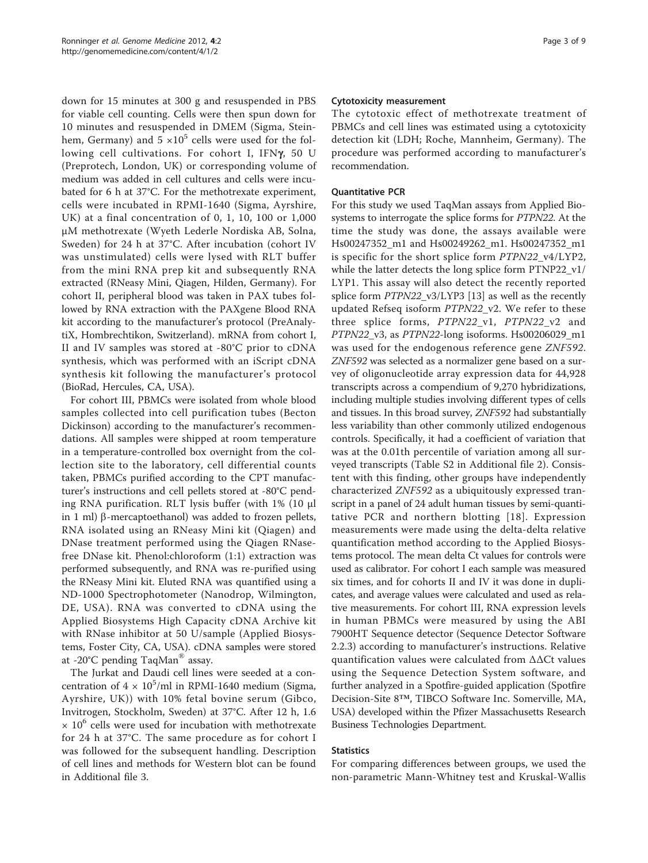down for 15 minutes at 300 g and resuspended in PBS for viable cell counting. Cells were then spun down for 10 minutes and resuspended in DMEM (Sigma, Steinhem, Germany) and  $5 \times 10^5$  cells were used for the following cell cultivations. For cohort I, IFN $\gamma$ , 50 U (Preprotech, London, UK) or corresponding volume of medium was added in cell cultures and cells were incubated for 6 h at 37°C. For the methotrexate experiment, cells were incubated in RPMI-1640 (Sigma, Ayrshire, UK) at a final concentration of 0, 1, 10, 100 or 1,000 μM methotrexate (Wyeth Lederle Nordiska AB, Solna, Sweden) for 24 h at 37°C. After incubation (cohort IV was unstimulated) cells were lysed with RLT buffer from the mini RNA prep kit and subsequently RNA extracted (RNeasy Mini, Qiagen, Hilden, Germany). For cohort II, peripheral blood was taken in PAX tubes followed by RNA extraction with the PAXgene Blood RNA kit according to the manufacturer's protocol (PreAnalytiX, Hombrechtikon, Switzerland). mRNA from cohort I, II and IV samples was stored at -80°C prior to cDNA synthesis, which was performed with an iScript cDNA synthesis kit following the manufacturer's protocol (BioRad, Hercules, CA, USA).

For cohort III, PBMCs were isolated from whole blood samples collected into cell purification tubes (Becton Dickinson) according to the manufacturer's recommendations. All samples were shipped at room temperature in a temperature-controlled box overnight from the collection site to the laboratory, cell differential counts taken, PBMCs purified according to the CPT manufacturer's instructions and cell pellets stored at -80°C pending RNA purification. RLT lysis buffer (with 1% (10 μl in 1 ml)  $\beta$ -mercaptoethanol) was added to frozen pellets, RNA isolated using an RNeasy Mini kit (Qiagen) and DNase treatment performed using the Qiagen RNasefree DNase kit. Phenol:chloroform (1:1) extraction was performed subsequently, and RNA was re-purified using the RNeasy Mini kit. Eluted RNA was quantified using a ND-1000 Spectrophotometer (Nanodrop, Wilmington, DE, USA). RNA was converted to cDNA using the Applied Biosystems High Capacity cDNA Archive kit with RNase inhibitor at 50 U/sample (Applied Biosystems, Foster City, CA, USA). cDNA samples were stored at -20°C pending TaqMan® assay.

The Jurkat and Daudi cell lines were seeded at a concentration of  $4 \times 10^5$ /ml in RPMI-1640 medium (Sigma, Ayrshire, UK)) with 10% fetal bovine serum (Gibco, Invitrogen, Stockholm, Sweden) at 37°C. After 12 h, 1.6  $\times$  10 $^{\circ}$  cells were used for incubation with methotrexate for 24 h at 37°C. The same procedure as for cohort I was followed for the subsequent handling. Description of cell lines and methods for Western blot can be found in Additional file [3](#page-6-0).

# Cytotoxicity measurement

The cytotoxic effect of methotrexate treatment of PBMCs and cell lines was estimated using a cytotoxicity detection kit (LDH; Roche, Mannheim, Germany). The procedure was performed according to manufacturer's recommendation.

# Quantitative PCR

For this study we used TaqMan assays from Applied Biosystems to interrogate the splice forms for PTPN22. At the time the study was done, the assays available were Hs00247352\_m1 and Hs00249262\_m1. Hs00247352\_m1 is specific for the short splice form PTPN22\_v4/LYP2, while the latter detects the long splice form PTNP22\_v1/ LYP1. This assay will also detect the recently reported splice form PTPN22\_v3/LYP3 [\[13\]](#page-7-0) as well as the recently updated Refseq isoform PTPN22\_v2. We refer to these three splice forms, PTPN22\_v1, PTPN22\_v2 and PTPN22\_v3, as PTPN22-long isoforms. Hs00206029\_m1 was used for the endogenous reference gene ZNF592. ZNF592 was selected as a normalizer gene based on a survey of oligonucleotide array expression data for 44,928 transcripts across a compendium of 9,270 hybridizations, including multiple studies involving different types of cells and tissues. In this broad survey, ZNF592 had substantially less variability than other commonly utilized endogenous controls. Specifically, it had a coefficient of variation that was at the 0.01th percentile of variation among all surveyed transcripts (Table S2 in Additional file [2\)](#page-6-0). Consistent with this finding, other groups have independently characterized ZNF592 as a ubiquitously expressed transcript in a panel of 24 adult human tissues by semi-quantitative PCR and northern blotting [[18\]](#page-7-0). Expression measurements were made using the delta-delta relative quantification method according to the Applied Biosystems protocol. The mean delta Ct values for controls were used as calibrator. For cohort I each sample was measured six times, and for cohorts II and IV it was done in duplicates, and average values were calculated and used as relative measurements. For cohort III, RNA expression levels in human PBMCs were measured by using the ABI 7900HT Sequence detector (Sequence Detector Software 2.2.3) according to manufacturer's instructions. Relative quantification values were calculated from ΔΔCt values using the Sequence Detection System software, and further analyzed in a Spotfire-guided application (Spotfire Decision-Site 8™, TIBCO Software Inc. Somerville, MA, USA) developed within the Pfizer Massachusetts Research Business Technologies Department.

# **Statistics**

For comparing differences between groups, we used the non-parametric Mann-Whitney test and Kruskal-Wallis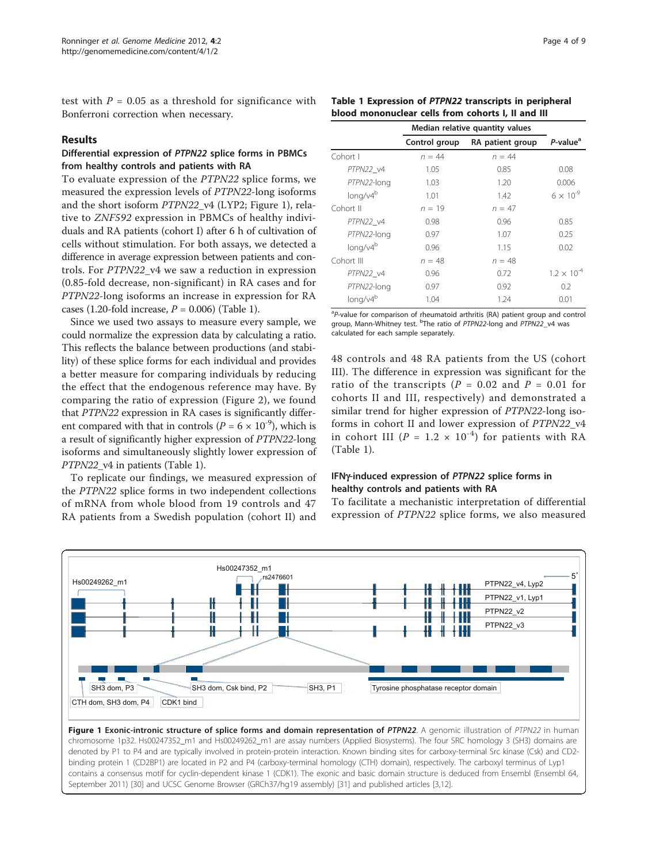test with  $P = 0.05$  as a threshold for significance with Bonferroni correction when necessary.

# Results

# Differential expression of PTPN22 splice forms in PBMCs from healthy controls and patients with RA

To evaluate expression of the PTPN22 splice forms, we measured the expression levels of PTPN22-long isoforms and the short isoform PTPN22\_v4 (LYP2; Figure 1), relative to ZNF592 expression in PBMCs of healthy individuals and RA patients (cohort I) after 6 h of cultivation of cells without stimulation. For both assays, we detected a difference in average expression between patients and controls. For PTPN22 v4 we saw a reduction in expression (0.85-fold decrease, non-significant) in RA cases and for PTPN22-long isoforms an increase in expression for RA cases (1.20-fold increase,  $P = 0.006$ ) (Table 1).

Since we used two assays to measure every sample, we could normalize the expression data by calculating a ratio. This reflects the balance between productions (and stability) of these splice forms for each individual and provides a better measure for comparing individuals by reducing the effect that the endogenous reference may have. By comparing the ratio of expression (Figure [2](#page-4-0)), we found that PTPN22 expression in RA cases is significantly different compared with that in controls ( $P = 6 \times 10^{-9}$ ), which is a result of significantly higher expression of PTPN22-long isoforms and simultaneously slightly lower expression of PTPN22\_v4 in patients (Table 1).

To replicate our findings, we measured expression of the PTPN22 splice forms in two independent collections of mRNA from whole blood from 19 controls and 47 RA patients from a Swedish population (cohort II) and

| Table 1 Expression of PTPN22 transcripts in peripheral |
|--------------------------------------------------------|
| blood mononuclear cells from cohorts I. II and III     |

|                      | Median relative quantity values |                  |                      |
|----------------------|---------------------------------|------------------|----------------------|
|                      | Control group                   | RA patient group | P-value <sup>a</sup> |
| Cohort I             | $n = 44$                        | $n = 44$         |                      |
| PTPN22 v4            | 1.05                            | 0.85             | 0.08                 |
| PTPN22-long          | 1.03                            | 1.20             | 0.006                |
| long/v4 <sup>b</sup> | 1.01                            | 1.42             | $6 \times 10^{-9}$   |
| Cohort II            | $n = 19$                        | $n = 47$         |                      |
| PTPN22 v4            | 0.98                            | 0.96             | 0.85                 |
| PTPN22-long          | 0.97                            | 1.07             | 0.25                 |
| long/v4 <sup>b</sup> | 0.96                            | 1.15             | 0.02                 |
| Cohort III           | $n = 48$                        | $n = 48$         |                      |
| PTPN22 v4            | 0.96                            | 0.72             | $1.2 \times 10^{-4}$ |
| PTPN22-long          | 0.97                            | 0.92             | 0.2                  |
| long/v4 <sup>b</sup> | 1.04                            | 1.24             | 0.01                 |

<sup>a</sup>P-value for comparison of rheumatoid arthritis (RA) patient group and control group, Mann-Whitney test. <sup>b</sup>The ratio of PTPN22-long and PTPN22\_v4 was calculated for each sample separately.

48 controls and 48 RA patients from the US (cohort III). The difference in expression was significant for the ratio of the transcripts ( $P = 0.02$  and  $P = 0.01$  for cohorts II and III, respectively) and demonstrated a similar trend for higher expression of PTPN22-long isoforms in cohort II and lower expression of PTPN22\_v4 in cohort III ( $P = 1.2 \times 10^{-4}$ ) for patients with RA (Table 1).

# IFNy-induced expression of PTPN22 splice forms in healthy controls and patients with RA

To facilitate a mechanistic interpretation of differential expression of PTPN22 splice forms, we also measured



contains a consensus motif for cyclin-dependent kinase 1 (CDK1). The exonic and basic domain structure is deduced from Ensembl (Ensembl 64, September 2011) [\[30](#page-8-0)] and UCSC Genome Browser (GRCh37/hg19 assembly) [\[31\]](#page-8-0) and published articles [[3,12\]](#page-7-0).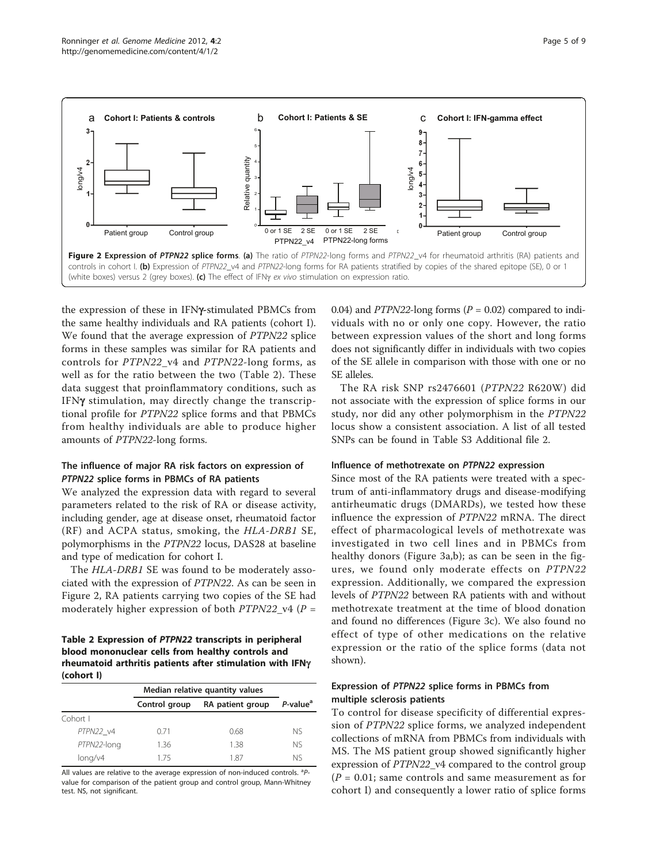<span id="page-4-0"></span>

the expression of these in IFNy-stimulated PBMCs from the same healthy individuals and RA patients (cohort I). We found that the average expression of PTPN22 splice forms in these samples was similar for RA patients and controls for PTPN22\_v4 and PTPN22-long forms, as well as for the ratio between the two (Table 2). These data suggest that proinflammatory conditions, such as IFNg stimulation, may directly change the transcriptional profile for PTPN22 splice forms and that PBMCs from healthy individuals are able to produce higher amounts of PTPN22-long forms.

# The influence of major RA risk factors on expression of PTPN22 splice forms in PBMCs of RA patients

We analyzed the expression data with regard to several parameters related to the risk of RA or disease activity, including gender, age at disease onset, rheumatoid factor (RF) and ACPA status, smoking, the HLA-DRB1 SE, polymorphisms in the PTPN22 locus, DAS28 at baseline and type of medication for cohort I.

The HLA-DRB1 SE was found to be moderately associated with the expression of PTPN22. As can be seen in Figure 2, RA patients carrying two copies of the SE had moderately higher expression of both  $PTPN22_V4$  (P =

# Table 2 Expression of PTPN22 transcripts in peripheral blood mononuclear cells from healthy controls and rheumatoid arthritis patients after stimulation with IFNg (cohort I)

|             | Median relative quantity values |                  |                      |
|-------------|---------------------------------|------------------|----------------------|
|             | Control group                   | RA patient group | P-value <sup>a</sup> |
| Cohort I    |                                 |                  |                      |
| PTPN22 v4   | 0.71                            | 0.68             | NS.                  |
| PTPN22-long | 1.36                            | 1.38             | <b>NS</b>            |
| long/v4     | 175                             | 187              | Nς                   |

All values are relative to the average expression of non-induced controls. <sup>a</sup>Pvalue for comparison of the patient group and control group, Mann-Whitney test. NS, not significant.

0.04) and PTPN22-long forms  $(P = 0.02)$  compared to individuals with no or only one copy. However, the ratio between expression values of the short and long forms does not significantly differ in individuals with two copies of the SE allele in comparison with those with one or no SE alleles.

The RA risk SNP rs2476601 (PTPN22 R620W) did not associate with the expression of splice forms in our study, nor did any other polymorphism in the PTPN22 locus show a consistent association. A list of all tested SNPs can be found in Table S3 Additional file [2.](#page-6-0)

## Influence of methotrexate on PTPN22 expression

Since most of the RA patients were treated with a spectrum of anti-inflammatory drugs and disease-modifying antirheumatic drugs (DMARDs), we tested how these influence the expression of PTPN22 mRNA. The direct effect of pharmacological levels of methotrexate was investigated in two cell lines and in PBMCs from healthy donors (Figure [3a,b\)](#page-5-0); as can be seen in the figures, we found only moderate effects on PTPN22 expression. Additionally, we compared the expression levels of PTPN22 between RA patients with and without methotrexate treatment at the time of blood donation and found no differences (Figure [3c\)](#page-5-0). We also found no effect of type of other medications on the relative expression or the ratio of the splice forms (data not shown).

# Expression of PTPN22 splice forms in PBMCs from multiple sclerosis patients

To control for disease specificity of differential expression of PTPN22 splice forms, we analyzed independent collections of mRNA from PBMCs from individuals with MS. The MS patient group showed significantly higher expression of PTPN22\_v4 compared to the control group  $(P = 0.01;$  same controls and same measurement as for cohort I) and consequently a lower ratio of splice forms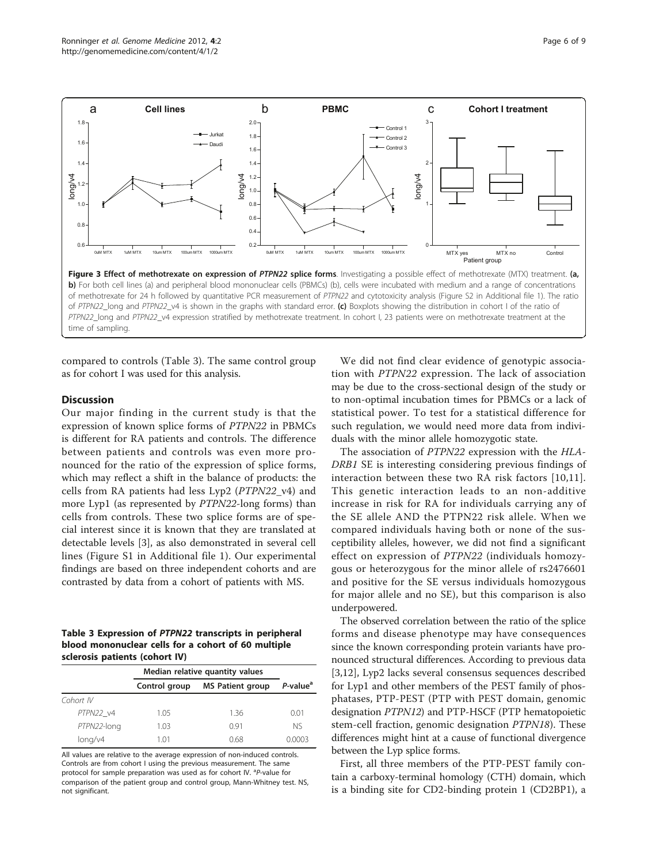<span id="page-5-0"></span>

compared to controls (Table 3). The same control group as for cohort I was used for this analysis.

# **Discussion**

Our major finding in the current study is that the expression of known splice forms of PTPN22 in PBMCs is different for RA patients and controls. The difference between patients and controls was even more pronounced for the ratio of the expression of splice forms, which may reflect a shift in the balance of products: the cells from RA patients had less Lyp2 (PTPN22\_v4) and more Lyp1 (as represented by PTPN22-long forms) than cells from controls. These two splice forms are of special interest since it is known that they are translated at detectable levels [\[3](#page-7-0)], as also demonstrated in several cell lines (Figure S1 in Additional file [1\)](#page-6-0). Our experimental findings are based on three independent cohorts and are contrasted by data from a cohort of patients with MS.

# Table 3 Expression of PTPN22 transcripts in peripheral blood mononuclear cells for a cohort of 60 multiple sclerosis patients (cohort IV)

|             | Median relative quantity values |                         |                      |
|-------------|---------------------------------|-------------------------|----------------------|
|             | Control group                   | <b>MS Patient group</b> | P-value <sup>a</sup> |
| Cohort IV   |                                 |                         |                      |
| PTPN22 v4   | 1.05                            | 1.36                    | 0.01                 |
| PTPN22-long | 1.03                            | 0.91                    | <b>NS</b>            |
| long/v4     | 1.01                            | 0.68                    | 0.0003               |

All values are relative to the average expression of non-induced controls. Controls are from cohort I using the previous measurement. The same protocol for sample preparation was used as for cohort IV. <sup>a</sup>P-value for comparison of the patient group and control group, Mann-Whitney test. NS, not significant.

We did not find clear evidence of genotypic association with PTPN22 expression. The lack of association may be due to the cross-sectional design of the study or to non-optimal incubation times for PBMCs or a lack of statistical power. To test for a statistical difference for such regulation, we would need more data from individuals with the minor allele homozygotic state.

The association of PTPN22 expression with the HLA-DRB1 SE is interesting considering previous findings of interaction between these two RA risk factors [\[10](#page-7-0),[11](#page-7-0)]. This genetic interaction leads to an non-additive increase in risk for RA for individuals carrying any of the SE allele AND the PTPN22 risk allele. When we compared individuals having both or none of the susceptibility alleles, however, we did not find a significant effect on expression of PTPN22 (individuals homozygous or heterozygous for the minor allele of rs2476601 and positive for the SE versus individuals homozygous for major allele and no SE), but this comparison is also underpowered.

The observed correlation between the ratio of the splice forms and disease phenotype may have consequences since the known corresponding protein variants have pronounced structural differences. According to previous data [[3,12\]](#page-7-0), Lyp2 lacks several consensus sequences described for Lyp1 and other members of the PEST family of phosphatases, PTP-PEST (PTP with PEST domain, genomic designation PTPN12) and PTP-HSCF (PTP hematopoietic stem-cell fraction, genomic designation PTPN18). These differences might hint at a cause of functional divergence between the Lyp splice forms.

First, all three members of the PTP-PEST family contain a carboxy-terminal homology (CTH) domain, which is a binding site for CD2-binding protein 1 (CD2BP1), a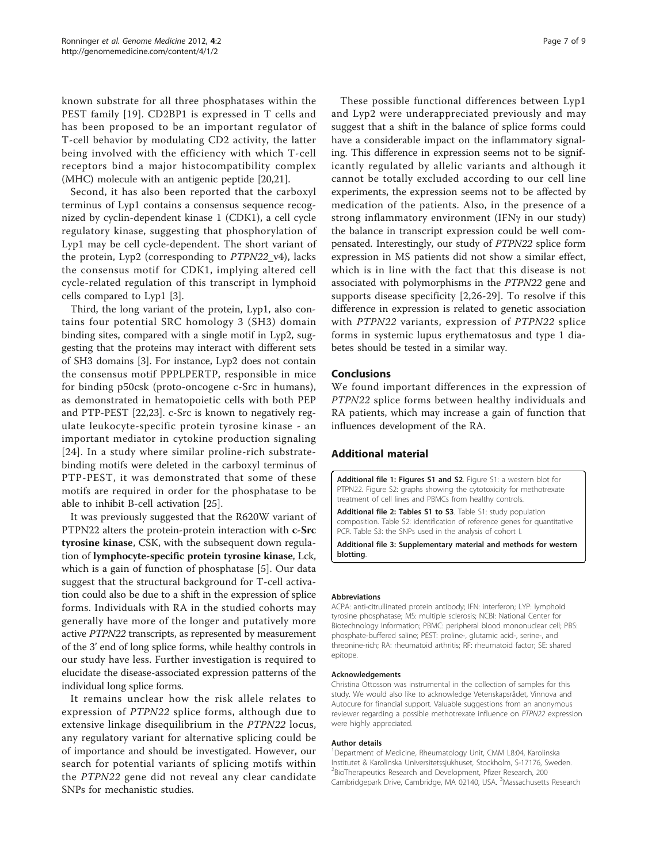<span id="page-6-0"></span>known substrate for all three phosphatases within the PEST family [[19\]](#page-7-0). CD2BP1 is expressed in T cells and has been proposed to be an important regulator of T-cell behavior by modulating CD2 activity, the latter being involved with the efficiency with which T-cell receptors bind a major histocompatibility complex (MHC) molecule with an antigenic peptide [[20,21\]](#page-7-0).

Second, it has also been reported that the carboxyl terminus of Lyp1 contains a consensus sequence recognized by cyclin-dependent kinase 1 (CDK1), a cell cycle regulatory kinase, suggesting that phosphorylation of Lyp1 may be cell cycle-dependent. The short variant of the protein, Lyp2 (corresponding to PTPN22\_v4), lacks the consensus motif for CDK1, implying altered cell cycle-related regulation of this transcript in lymphoid cells compared to Lyp1 [[3\]](#page-7-0).

Third, the long variant of the protein, Lyp1, also contains four potential SRC homology 3 (SH3) domain binding sites, compared with a single motif in Lyp2, suggesting that the proteins may interact with different sets of SH3 domains [\[3](#page-7-0)]. For instance, Lyp2 does not contain the consensus motif PPPLPERTP, responsible in mice for binding p50csk (proto-oncogene c-Src in humans), as demonstrated in hematopoietic cells with both PEP and PTP-PEST [[22,23](#page-7-0)]. c-Src is known to negatively regulate leukocyte-specific protein tyrosine kinase - an important mediator in cytokine production signaling [[24\]](#page-7-0). In a study where similar proline-rich substratebinding motifs were deleted in the carboxyl terminus of PTP-PEST, it was demonstrated that some of these motifs are required in order for the phosphatase to be able to inhibit B-cell activation [[25\]](#page-7-0).

It was previously suggested that the R620W variant of PTPN22 alters the protein-protein interaction with c-Src tyrosine kinase, CSK, with the subsequent down regulation of lymphocyte-specific protein tyrosine kinase, Lck, which is a gain of function of phosphatase [[5\]](#page-7-0). Our data suggest that the structural background for T-cell activation could also be due to a shift in the expression of splice forms. Individuals with RA in the studied cohorts may generally have more of the longer and putatively more active PTPN22 transcripts, as represented by measurement of the 3' end of long splice forms, while healthy controls in our study have less. Further investigation is required to elucidate the disease-associated expression patterns of the individual long splice forms.

It remains unclear how the risk allele relates to expression of PTPN22 splice forms, although due to extensive linkage disequilibrium in the PTPN22 locus, any regulatory variant for alternative splicing could be of importance and should be investigated. However, our search for potential variants of splicing motifs within the PTPN22 gene did not reveal any clear candidate SNPs for mechanistic studies.

These possible functional differences between Lyp1 and Lyp2 were underappreciated previously and may suggest that a shift in the balance of splice forms could have a considerable impact on the inflammatory signaling. This difference in expression seems not to be significantly regulated by allelic variants and although it cannot be totally excluded according to our cell line experiments, the expression seems not to be affected by medication of the patients. Also, in the presence of a strong inflammatory environment (IFN $\gamma$  in our study) the balance in transcript expression could be well compensated. Interestingly, our study of PTPN22 splice form expression in MS patients did not show a similar effect, which is in line with the fact that this disease is not associated with polymorphisms in the PTPN22 gene and supports disease specificity [[2,26](#page-7-0)-[29](#page-8-0)]. To resolve if this difference in expression is related to genetic association with PTPN22 variants, expression of PTPN22 splice forms in systemic lupus erythematosus and type 1 diabetes should be tested in a similar way.

# Conclusions

We found important differences in the expression of PTPN22 splice forms between healthy individuals and RA patients, which may increase a gain of function that influences development of the RA.

# Additional material

[Additional file 1: F](http://www.biomedcentral.com/content/supplementary/gm301-S1.PDF)igures S1 and S2. Figure S1: a western blot for PTPN22. Figure S2: graphs showing the cytotoxicity for methotrexate treatment of cell lines and PBMCs from healthy controls.

[Additional file 2: T](http://www.biomedcentral.com/content/supplementary/gm301-S2.DOC)ables S1 to S3. Table S1: study population composition. Table S2: identification of reference genes for quantitative PCR. Table S3: the SNPs used in the analysis of cohort I.

[Additional file 3: S](http://www.biomedcentral.com/content/supplementary/gm301-S3.DOC)upplementary material and methods for western blotting.

#### Abbreviations

ACPA: anti-citrullinated protein antibody; IFN: interferon; LYP: lymphoid tyrosine phosphatase; MS: multiple sclerosis; NCBI: National Center for Biotechnology Information; PBMC: peripheral blood mononuclear cell; PBS: phosphate-buffered saline; PEST: proline-, glutamic acid-, serine-, and threonine-rich; RA: rheumatoid arthritis; RF: rheumatoid factor; SE: shared epitope.

#### Acknowledgements

Christina Ottosson was instrumental in the collection of samples for this study. We would also like to acknowledge Vetenskapsrådet, Vinnova and Autocure for financial support. Valuable suggestions from an anonymous reviewer regarding a possible methotrexate influence on PTPN22 expression were highly appreciated.

#### Author details

1 Department of Medicine, Rheumatology Unit, CMM L8:04, Karolinska Institutet & Karolinska Universitetssjukhuset, Stockholm, S-17176, Sweden. 2 BioTherapeutics Research and Development, Pfizer Research, 200 Cambridgepark Drive, Cambridge, MA 02140, USA. <sup>3</sup>Massachusetts Research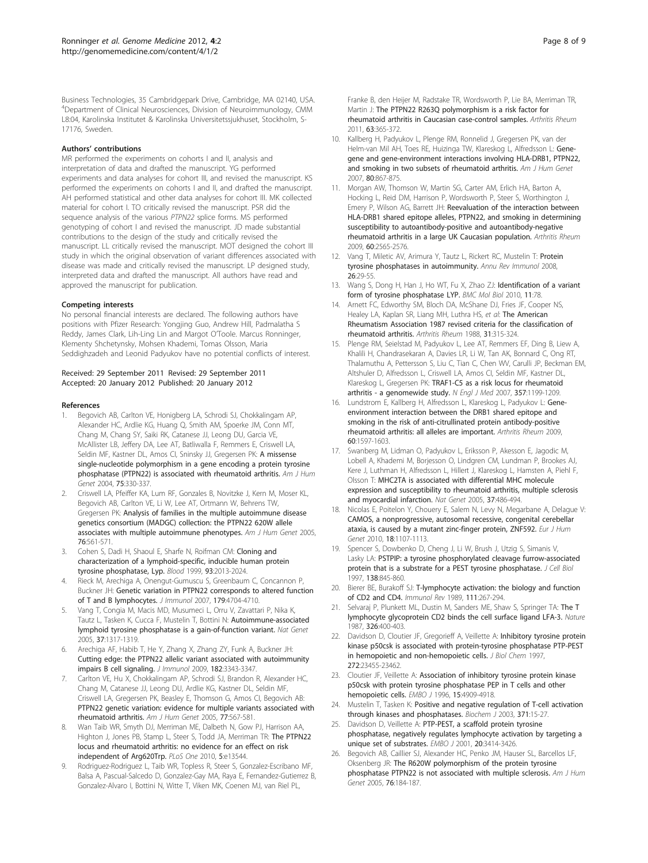<span id="page-7-0"></span>Business Technologies, 35 Cambridgepark Drive, Cambridge, MA 02140, USA. 4 Department of Clinical Neurosciences, Division of Neuroimmunology, CMM L8:04, Karolinska Institutet & Karolinska Universitetssjukhuset, Stockholm, S-17176, Sweden.

### Authors' contributions

MR performed the experiments on cohorts I and II, analysis and interpretation of data and drafted the manuscript. YG performed experiments and data analyses for cohort III, and revised the manuscript. KS performed the experiments on cohorts I and II, and drafted the manuscript. AH performed statistical and other data analyses for cohort III. MK collected material for cohort I. TO critically revised the manuscript. PSR did the sequence analysis of the various PTPN22 splice forms. MS performed genotyping of cohort I and revised the manuscript. JD made substantial contributions to the design of the study and critically revised the manuscript. LL critically revised the manuscript. MOT designed the cohort III study in which the original observation of variant differences associated with disease was made and critically revised the manuscript. LP designed study, interpreted data and drafted the manuscript. All authors have read and approved the manuscript for publication.

#### Competing interests

No personal financial interests are declared. The following authors have positions with Pfizer Research: Yongjing Guo, Andrew Hill, Padmalatha S Reddy, James Clark, Lih-Ling Lin and Margot O'Toole. Marcus Ronninger, Klementy Shchetynsky, Mohsen Khademi, Tomas Olsson, Maria Seddighzadeh and Leonid Padyukov have no potential conflicts of interest.

#### Received: 29 September 2011 Revised: 29 September 2011 Accepted: 20 January 2012 Published: 20 January 2012

#### References

- 1. Begovich AB, Carlton VE, Honigberg LA, Schrodi SJ, Chokkalingam AP, Alexander HC, Ardlie KG, Huang Q, Smith AM, Spoerke JM, Conn MT, Chang M, Chang SY, Saiki RK, Catanese JJ, Leong DU, Garcia VE, McAllister LB, Jeffery DA, Lee AT, Batliwalla F, Remmers E, Criswell LA, Seldin MF, Kastner DL, Amos CI, Sninsky JJ, Gregersen PK: [A missense](http://www.ncbi.nlm.nih.gov/pubmed/15208781?dopt=Abstract) [single-nucleotide polymorphism in a gene encoding a protein tyrosine](http://www.ncbi.nlm.nih.gov/pubmed/15208781?dopt=Abstract) [phosphatase \(PTPN22\) is associated with rheumatoid arthritis.](http://www.ncbi.nlm.nih.gov/pubmed/15208781?dopt=Abstract) Am J Hum Genet 2004, 75:330-337.
- 2. Criswell LA, Pfeiffer KA, Lum RF, Gonzales B, Novitzke J, Kern M, Moser KL, Begovich AB, Carlton VE, Li W, Lee AT, Ortmann W, Behrens TW, Gregersen PK: [Analysis of families in the multiple autoimmune disease](http://www.ncbi.nlm.nih.gov/pubmed/15719322?dopt=Abstract) [genetics consortium \(MADGC\) collection: the PTPN22 620W allele](http://www.ncbi.nlm.nih.gov/pubmed/15719322?dopt=Abstract) [associates with multiple autoimmune phenotypes.](http://www.ncbi.nlm.nih.gov/pubmed/15719322?dopt=Abstract) Am J Hum Genet 2005, 76:561-571.
- 3. Cohen S, Dadi H, Shaoul E, Sharfe N, Roifman CM: [Cloning and](http://www.ncbi.nlm.nih.gov/pubmed/10068674?dopt=Abstract) [characterization of a lymphoid-specific, inducible human protein](http://www.ncbi.nlm.nih.gov/pubmed/10068674?dopt=Abstract) [tyrosine phosphatase, Lyp.](http://www.ncbi.nlm.nih.gov/pubmed/10068674?dopt=Abstract) Blood 1999, 93:2013-2024.
- 4. Rieck M, Arechiga A, Onengut-Gumuscu S, Greenbaum C, Concannon P, Buckner JH: [Genetic variation in PTPN22 corresponds to altered function](http://www.ncbi.nlm.nih.gov/pubmed/17878369?dopt=Abstract) [of T and B lymphocytes.](http://www.ncbi.nlm.nih.gov/pubmed/17878369?dopt=Abstract) J Immunol 2007, 179:4704-4710.
- 5. Vang T, Congia M, Macis MD, Musumeci L, Orru V, Zavattari P, Nika K, Tautz L, Tasken K, Cucca F, Mustelin T, Bottini N: [Autoimmune-associated](http://www.ncbi.nlm.nih.gov/pubmed/16273109?dopt=Abstract) [lymphoid tyrosine phosphatase is a gain-of-function variant.](http://www.ncbi.nlm.nih.gov/pubmed/16273109?dopt=Abstract) Nat Genet 2005, 37:1317-1319.
- 6. Arechiga AF, Habib T, He Y, Zhang X, Zhang ZY, Funk A, Buckner JH: [Cutting edge: the PTPN22 allelic variant associated with autoimmunity](http://www.ncbi.nlm.nih.gov/pubmed/19265110?dopt=Abstract) [impairs B cell signaling.](http://www.ncbi.nlm.nih.gov/pubmed/19265110?dopt=Abstract) J Immunol 2009, 182:3343-3347.
- Carlton VE, Hu X, Chokkalingam AP, Schrodi SJ, Brandon R, Alexander HC, Chang M, Catanese JJ, Leong DU, Ardlie KG, Kastner DL, Seldin MF, Criswell LA, Gregersen PK, Beasley E, Thomson G, Amos CI, Begovich AB: [PTPN22 genetic variation: evidence for multiple variants associated with](http://www.ncbi.nlm.nih.gov/pubmed/16175503?dopt=Abstract) [rheumatoid arthritis.](http://www.ncbi.nlm.nih.gov/pubmed/16175503?dopt=Abstract) Am J Hum Genet 2005, 77:567-581.
- Wan Taib WR, Smyth DJ, Merriman ME, Dalbeth N, Gow PJ, Harrison AA, Highton J, Jones PB, Stamp L, Steer S, Todd JA, Merriman TR: [The PTPN22](http://www.ncbi.nlm.nih.gov/pubmed/20975833?dopt=Abstract) [locus and rheumatoid arthritis: no evidence for an effect on risk](http://www.ncbi.nlm.nih.gov/pubmed/20975833?dopt=Abstract) [independent of Arg620Trp.](http://www.ncbi.nlm.nih.gov/pubmed/20975833?dopt=Abstract) PLoS One 2010, 5:e13544.
- 9. Rodriguez-Rodriguez L, Taib WR, Topless R, Steer S, Gonzalez-Escribano MF, Balsa A, Pascual-Salcedo D, Gonzalez-Gay MA, Raya E, Fernandez-Gutierrez B, Gonzalez-Alvaro I, Bottini N, Witte T, Viken MK, Coenen MJ, van Riel PL,

Franke B, den Heijer M, Radstake TR, Wordsworth P, Lie BA, Merriman TR, Martin J: [The PTPN22 R263Q polymorphism is a risk factor for](http://www.ncbi.nlm.nih.gov/pubmed/21279993?dopt=Abstract) [rheumatoid arthritis in Caucasian case-control samples.](http://www.ncbi.nlm.nih.gov/pubmed/21279993?dopt=Abstract) Arthritis Rheum 2011, 63:365-372.

- 10. Kallberg H, Padyukov L, Plenge RM, Ronnelid J, Gregersen PK, van der Helm-van Mil AH, Toes RE, Huizinga TW, Klareskog L, Alfredsson L: [Gene](http://www.ncbi.nlm.nih.gov/pubmed/17436241?dopt=Abstract)[gene and gene-environment interactions involving HLA-DRB1, PTPN22,](http://www.ncbi.nlm.nih.gov/pubmed/17436241?dopt=Abstract) [and smoking in two subsets of rheumatoid arthritis.](http://www.ncbi.nlm.nih.gov/pubmed/17436241?dopt=Abstract) Am J Hum Genet 2007, 80:867-875.
- 11. Morgan AW, Thomson W, Martin SG, Carter AM, Erlich HA, Barton A, Hocking L, Reid DM, Harrison P, Wordsworth P, Steer S, Worthington J, Emery P, Wilson AG, Barrett JH: [Reevaluation of the interaction between](http://www.ncbi.nlm.nih.gov/pubmed/19714585?dopt=Abstract) [HLA-DRB1 shared epitope alleles, PTPN22, and smoking in determining](http://www.ncbi.nlm.nih.gov/pubmed/19714585?dopt=Abstract) [susceptibility to autoantibody-positive and autoantibody-negative](http://www.ncbi.nlm.nih.gov/pubmed/19714585?dopt=Abstract) [rheumatoid arthritis in a large UK Caucasian population.](http://www.ncbi.nlm.nih.gov/pubmed/19714585?dopt=Abstract) Arthritis Rheum 2009, 60:2565-2576.
- 12. Vang T, Miletic AV, Arimura Y, Tautz L, Rickert RC, Mustelin T: [Protein](http://www.ncbi.nlm.nih.gov/pubmed/18303998?dopt=Abstract) [tyrosine phosphatases in autoimmunity.](http://www.ncbi.nlm.nih.gov/pubmed/18303998?dopt=Abstract) Annu Rev Immunol 2008, 26:29-55.
- 13. Wang S, Dong H, Han J, Ho WT, Fu X, Zhao ZJ: [Identification of a variant](http://www.ncbi.nlm.nih.gov/pubmed/21044313?dopt=Abstract) form [of tyrosine phosphatase LYP.](http://www.ncbi.nlm.nih.gov/pubmed/21044313?dopt=Abstract) BMC Mol Biol 2010, 11:78.
- 14. Arnett FC, Edworthy SM, Bloch DA, McShane DJ, Fries JF, Cooper NS, Healey LA, Kaplan SR, Liang MH, Luthra HS, et al: [The American](http://www.ncbi.nlm.nih.gov/pubmed/3358796?dopt=Abstract) [Rheumatism Association 1987 revised criteria for the classification of](http://www.ncbi.nlm.nih.gov/pubmed/3358796?dopt=Abstract) [rheumatoid arthritis.](http://www.ncbi.nlm.nih.gov/pubmed/3358796?dopt=Abstract) Arthritis Rheum 1988, 31:315-324.
- 15. Plenge RM, Seielstad M, Padyukov L, Lee AT, Remmers EF, Ding B, Liew A, Khalili H, Chandrasekaran A, Davies LR, Li W, Tan AK, Bonnard C, Ong RT, Thalamuthu A, Pettersson S, Liu C, Tian C, Chen WV, Carulli JP, Beckman EM, Altshuler D, Alfredsson L, Criswell LA, Amos CI, Seldin MF, Kastner DL, Klareskog L, Gregersen PK: [TRAF1-C5 as a risk locus for rheumatoid](http://www.ncbi.nlm.nih.gov/pubmed/17804836?dopt=Abstract) [arthritis - a genomewide study.](http://www.ncbi.nlm.nih.gov/pubmed/17804836?dopt=Abstract) N Engl J Med 2007, 357:1199-1209.
- 16. Lundstrom E, Kallberg H, Alfredsson L, Klareskog L, Padyukov L: [Gene](http://www.ncbi.nlm.nih.gov/pubmed/19479873?dopt=Abstract)[environment interaction between the DRB1 shared epitope and](http://www.ncbi.nlm.nih.gov/pubmed/19479873?dopt=Abstract) [smoking in the risk of anti-citrullinated protein antibody-positive](http://www.ncbi.nlm.nih.gov/pubmed/19479873?dopt=Abstract) [rheumatoid arthritis: all alleles are important.](http://www.ncbi.nlm.nih.gov/pubmed/19479873?dopt=Abstract) Arthritis Rheum 2009, 60:1597-1603.
- 17. Swanberg M, Lidman O, Padyukov L, Eriksson P, Akesson E, Jagodic M, Lobell A, Khademi M, Borjesson O, Lindgren CM, Lundman P, Brookes AJ, Kere J, Luthman H, Alfredsson L, Hillert J, Klareskog L, Hamsten A, Piehl F, Olsson T: [MHC2TA is associated with differential MHC molecule](http://www.ncbi.nlm.nih.gov/pubmed/15821736?dopt=Abstract) [expression and susceptibility to rheumatoid arthritis, multiple sclerosis](http://www.ncbi.nlm.nih.gov/pubmed/15821736?dopt=Abstract) [and myocardial infarction.](http://www.ncbi.nlm.nih.gov/pubmed/15821736?dopt=Abstract) Nat Genet 2005, 37:486-494.
- 18. Nicolas E, Poitelon Y, Chouery E, Salem N, Levy N, Megarbane A, Delague V: [CAMOS, a nonprogressive, autosomal recessive, congenital cerebellar](http://www.ncbi.nlm.nih.gov/pubmed/20531441?dopt=Abstract) [ataxia, is caused by a mutant zinc-finger protein, ZNF592.](http://www.ncbi.nlm.nih.gov/pubmed/20531441?dopt=Abstract) Eur J Hum Genet 2010, 18:1107-1113.
- 19. Spencer S, Dowbenko D, Cheng J, Li W, Brush J, Utzig S, Simanis V, Lasky LA: [PSTPIP: a tyrosine phosphorylated cleavage furrow-associated](http://www.ncbi.nlm.nih.gov/pubmed/9265651?dopt=Abstract) [protein that is a substrate for a PEST tyrosine phosphatase.](http://www.ncbi.nlm.nih.gov/pubmed/9265651?dopt=Abstract) J Cell Biol 1997, 138:845-860.
- 20. Bierer BE, Burakoff SJ: [T-lymphocyte activation: the biology and function](http://www.ncbi.nlm.nih.gov/pubmed/2483402?dopt=Abstract) [of CD2 and CD4.](http://www.ncbi.nlm.nih.gov/pubmed/2483402?dopt=Abstract) Immunol Rev 1989, 111:267-294.
- 21. Selvaraj P, Plunkett ML, Dustin M, Sanders ME, Shaw S, Springer TA: [The T](http://www.ncbi.nlm.nih.gov/pubmed/2951597?dopt=Abstract) [lymphocyte glycoprotein CD2 binds the cell surface ligand LFA-3.](http://www.ncbi.nlm.nih.gov/pubmed/2951597?dopt=Abstract) Nature 1987, 326:400-403.
- 22. Davidson D, Cloutier JF, Gregorieff A, Veillette A: [Inhibitory tyrosine protein](http://www.ncbi.nlm.nih.gov/pubmed/9287362?dopt=Abstract) [kinase p50csk is associated with protein-tyrosine phosphatase PTP-PEST](http://www.ncbi.nlm.nih.gov/pubmed/9287362?dopt=Abstract) [in hemopoietic and non-hemopoietic cells.](http://www.ncbi.nlm.nih.gov/pubmed/9287362?dopt=Abstract) J Biol Chem 1997, 272:23455-23462.
- 23. Cloutier JF, Veillette A: [Association of inhibitory tyrosine protein kinase](http://www.ncbi.nlm.nih.gov/pubmed/8890164?dopt=Abstract) [p50csk with protein tyrosine phosphatase PEP in T cells and other](http://www.ncbi.nlm.nih.gov/pubmed/8890164?dopt=Abstract) [hemopoietic cells.](http://www.ncbi.nlm.nih.gov/pubmed/8890164?dopt=Abstract) EMBO J 1996, 15:4909-4918.
- 24. Mustelin T, Tasken K: [Positive and negative regulation of T-cell activation](http://www.ncbi.nlm.nih.gov/pubmed/12485116?dopt=Abstract) [through kinases and phosphatases.](http://www.ncbi.nlm.nih.gov/pubmed/12485116?dopt=Abstract) Biochem J 2003, 371:15-27.
- 25. Davidson D, Veillette A: [PTP-PEST, a scaffold protein tyrosine](http://www.ncbi.nlm.nih.gov/pubmed/11432829?dopt=Abstract) [phosphatase, negatively regulates lymphocyte activation by targeting a](http://www.ncbi.nlm.nih.gov/pubmed/11432829?dopt=Abstract) [unique set of substrates.](http://www.ncbi.nlm.nih.gov/pubmed/11432829?dopt=Abstract) EMBO J 2001, 20:3414-3426.
- 26. Begovich AB, Caillier SJ, Alexander HC, Penko JM, Hauser SL, Barcellos LF, Oksenberg JR: The [R620W polymorphism of the protein tyrosine](http://www.ncbi.nlm.nih.gov/pubmed/15580548?dopt=Abstract) [phosphatase PTPN22 is not associated with multiple sclerosis.](http://www.ncbi.nlm.nih.gov/pubmed/15580548?dopt=Abstract) Am J Hum Genet 2005, 76:184-187.